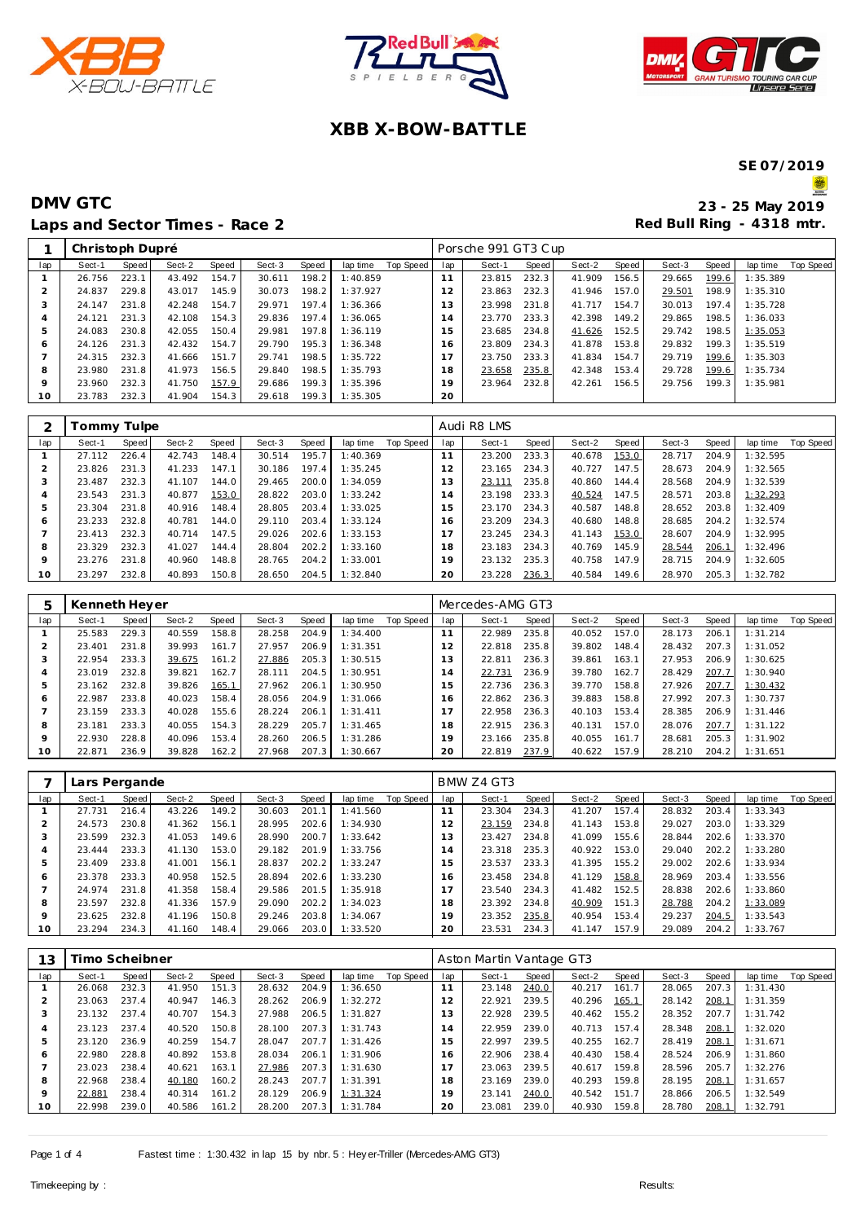





## **XBB X-BOW-BATTLE**

**SE 07/2019**

S

|     | Christoph Dupré |       |        |       |        |       |          |           |                | Porsche 991 GT3 Cup |       |        |       |        |       |          |           |
|-----|-----------------|-------|--------|-------|--------|-------|----------|-----------|----------------|---------------------|-------|--------|-------|--------|-------|----------|-----------|
| lap | Sect-1          | Speed | Sect-2 | Speed | Sect-3 | Speed | lap time | Top Speed | lap            | Sect-1              | Speed | Sect-2 | Speed | Sect-3 | Speed | lap time | Top Speed |
|     | 26.756          | 223.1 | 43.492 | 154.7 | 30.611 | 198.2 | 1:40.859 |           | 11             | 23.815              | 232.3 | 41.909 | 156.5 | 29.665 | 199.6 | 1:35.389 |           |
|     | 24.837          | 229.8 | 43.017 | 145.9 | 30.073 | 198.2 | 1:37.927 |           | 12             | 23.863              | 232.3 | 41.946 | 157.0 | 29.501 | 198.9 | 1:35.310 |           |
| 3   | 24.147          | 231.8 | 42.248 | 154.7 | 29.971 | 197.4 | 1:36.366 |           | 13             | 23.998              | 231.8 | 41.717 | 154.7 | 30.013 | 197.4 | 1:35.728 |           |
| 4   | 24.121          | 231.3 | 42.108 | 154.3 | 29.836 | 197.4 | 1:36.065 |           | $\overline{A}$ | 23.770              | 233.3 | 42.398 | 149.2 | 29.865 | 198.5 | 1:36.033 |           |
| 5   | 24.083          | 230.8 | 42.055 | 150.4 | 29.981 | 197.8 | 1:36.119 |           | 15             | 23.685              | 234.8 | 41.626 | 152.5 | 29.742 | 198.5 | 1:35.053 |           |
| 6   | 24.126          | 231.3 | 42.432 | 154.7 | 29.790 | 195.3 | 1:36.348 |           | 6              | 23.809              | 234.3 | 41.878 | 153.8 | 29.832 | 199.3 | 1:35.519 |           |
|     | 24.315          | 232.3 | 41.666 | 151.7 | 29.741 | 198.5 | 1:35.722 |           | $\overline{7}$ | 23.750              | 233.3 | 41.834 | 154.7 | 29.719 | 199.6 | 1:35.303 |           |
| 8   | 23.980          | 231.8 | 41.973 | 156.5 | 29.840 | 198.5 | 1:35.793 |           | '8             | 23.658              | 235.8 | 42.348 | 153.4 | 29.728 | 199.6 | 1:35.734 |           |
| 9   | 23.960          | 232.3 | 41.750 | 157.9 | 29.686 | 199.3 | 1:35.396 |           | 9              | 23.964              | 232.8 | 42.261 | 156.5 | 29.756 | 199.3 | 1:35.981 |           |
| 10  | 23.783          | 232.3 | 41.904 | 154.3 | 29.618 | 199.3 | 1:35.305 |           | 20             |                     |       |        |       |        |       |          |           |

|                | Fommy Tulpe |       |        |       |        |       |          |           |     | Audi R8 LMS |       |        |       |        |       |          |           |
|----------------|-------------|-------|--------|-------|--------|-------|----------|-----------|-----|-------------|-------|--------|-------|--------|-------|----------|-----------|
| lap            | Sect-1      | Speed | Sect-2 | Speed | Sect-3 | Speed | lap time | Top Speed | lap | Sect-1      | Speed | Sect-2 | Speed | Sect-3 | Speed | lap time | Top Speed |
|                | 27.112      | 226.4 | 42.743 | 148.4 | 30.514 | 195.7 | 1:40.369 |           | 11  | 23.200      | 233.3 | 40.678 | 153.0 | 28.717 | 204.9 | 1:32.595 |           |
| $\overline{2}$ | 23.826      | 231.3 | 41.233 | 147.1 | 30.186 | 197.4 | 1:35.245 |           | 12  | 23.165      | 234.3 | 40.727 | 147.5 | 28.673 | 204.9 | 1:32.565 |           |
| 3              | 23.487      | 232.3 | 41.107 | 144.0 | 29.465 | 200.0 | 1:34.059 |           | 3   | 23.111      | 235.8 | 40.860 | 144.4 | 28.568 | 204.9 | 1:32.539 |           |
|                | 23.543      | 231.3 | 40.877 | 153.0 | 28.822 | 203.0 | 1:33.242 |           | 14  | 23.198      | 233.3 | 40.524 | 147.5 | 28.571 | 203.8 | 1:32.293 |           |
| 5              | 23.304      | 231.8 | 40.916 | 148.4 | 28.805 | 203.4 | 1:33.025 |           | - 5 | 23.170      | 234.3 | 40.587 | 148.8 | 28.652 | 203.8 | 1:32.409 |           |
| 6              | 23.233      | 232.8 | 40.781 | 144.0 | 29.110 | 203.4 | 1:33.124 |           | 6   | 23.209      | 234.3 | 40.680 | 148.8 | 28.685 | 204.2 | 1:32.574 |           |
|                | 23.413      | 232.3 | 40.714 | 147.5 | 29.026 | 202.6 | 1:33.153 |           |     | 23.245      | 234.3 | 41.143 | 153.0 | 28.607 | 204.9 | 1:32.995 |           |
| 8              | 23.329      | 232.3 | 41.027 | 144.4 | 28.804 | 202.2 | 1:33.160 |           | 18  | 23.183      | 234.3 | 40.769 | 145.9 | 28.544 | 206.1 | 1:32.496 |           |
| 9              | 23.276      | 231.8 | 40.960 | 148.8 | 28.765 | 204.2 | 1:33.001 |           | 19  | 23.132      | 235.3 | 40.758 | 147.9 | 28.715 | 204.9 | 1:32.605 |           |
| 10             | 23.297      | 232.8 | 40.893 | 150.8 | 28.650 | 204.5 | 1:32.840 |           | 20  | 23.228      | 236.3 | 40.584 | 149.6 | 28.970 | 205.3 | 1:32.782 |           |

|         | Kenneth Heyer |       |        |       |        |       |          |           |     | Mercedes-AMG GT3 |       |        |       |        |       |          |           |
|---------|---------------|-------|--------|-------|--------|-------|----------|-----------|-----|------------------|-------|--------|-------|--------|-------|----------|-----------|
| lap     | Sect-1        | Speed | Sect-2 | Speed | Sect-3 | Speed | lap time | Top Speed | lap | Sect-1           | Speed | Sect-2 | Speed | Sect-3 | Speed | lap time | Top Speed |
|         | 25.583        | 229.3 | 40.559 | 158.8 | 28.258 | 204.9 | 1:34.400 |           |     | 22.989           | 235.8 | 40.052 | 157.0 | 28.173 | 206.1 | 1:31.214 |           |
|         | 23.401        | 231.8 | 39.993 | 161.7 | 27.957 | 206.9 | 1:31.351 |           | 12  | 22.818           | 235.8 | 39.802 | 148.4 | 28.432 | 207.3 | 1:31.052 |           |
| 3       | 22.954        | 233.3 | 39.675 | 161.2 | 27.886 | 205.3 | 1:30.515 |           | 3   | 22.811           | 236.3 | 39.861 | 163.1 | 27.953 | 206.9 | 1:30.625 |           |
| 4       | 23.019        | 232.8 | 39.821 | 162.7 | 28.111 | 204.5 | 1:30.951 |           | 14  | 22.731           | 236.9 | 39.780 | 162.7 | 28.429 | 207.7 | 1:30.940 |           |
| 5       | 23.162        | 232.8 | 39.826 | 165.1 | 27.962 | 206.1 | 1:30.950 |           | - 5 | 22.736           | 236.3 | 39.770 | 158.8 | 27.926 | 207.7 | 1:30.432 |           |
| O       | 22.987        | 233.8 | 40.023 | 158.4 | 28.056 | 204.9 | 1:31.066 |           | 6   | 22.862           | 236.3 | 39.883 | 158.8 | 27.992 | 207.3 | 1:30.737 |           |
|         | 23.159        | 233.3 | 40.028 | 155.6 | 28.224 | 206.1 | 1:31.411 |           |     | 22.958           | 236.3 | 40.103 | 153.4 | 28.385 | 206.9 | 1:31.446 |           |
| 8       | 23.181        | 233.3 | 40.055 | 154.3 | 28.229 | 205.7 | 1:31.465 |           | 18  | 22.915           | 236.3 | 40.131 | 157.0 | 28.076 | 207.7 | 1:31.122 |           |
| $\circ$ | 22.930        | 228.8 | 40.096 | 153.4 | 28.260 | 206.5 | 1:31.286 |           | 19  | 23.166           | 235.8 | 40.055 | 161.7 | 28.681 | 205.3 | 1:31.902 |           |
| 10      | 22.871        | 236.9 | 39.828 | 162.2 | 27.968 | 207.3 | 1:30.667 |           | 20  | 22.819           | 237.9 | 40.622 | 157.9 | 28.210 | 204.2 | 1:31.651 |           |

|     | Lars Pergande |       |        |       |        |       |          |           |                | BMW Z4 GT3 |       |        |       |        |       |          |           |
|-----|---------------|-------|--------|-------|--------|-------|----------|-----------|----------------|------------|-------|--------|-------|--------|-------|----------|-----------|
| lap | Sect-1        | Speed | Sect-2 | Speed | Sect-3 | Speed | lap time | Top Speed | lap            | Sect-1     | Speed | Sect-2 | Speed | Sect-3 | Speed | lap time | Top Speed |
|     | 27.731        | 216.4 | 43.226 | 149.2 | 30.603 | 201.1 | 1:41.560 |           |                | 23.304     | 234.3 | 41.207 | 157.4 | 28.832 | 203.4 | 1:33.343 |           |
|     | 24.573        | 230.8 | 41.362 | 156.1 | 28.995 | 202.6 | 1:34.930 |           | 12             | 23.159     | 234.8 | 41.143 | 153.8 | 29.027 | 203.0 | 1:33.329 |           |
|     | 23.599        | 232.3 | 41.053 | 149.6 | 28.990 | 200.7 | 1:33.642 |           | 3              | 23.427     | 234.8 | 41.099 | 155.6 | 28.844 | 202.6 | 1:33.370 |           |
|     | 23.444        | 233.3 | 41.130 | 153.0 | 29.182 | 201.9 | 1:33.756 |           | $\overline{4}$ | 23.318     | 235.3 | 40.922 | 153.0 | 29.040 | 202.2 | 1:33.280 |           |
| b   | 23.409        | 233.8 | 41.001 | 156.1 | 28.837 | 202.2 | 1:33.247 |           | 5              | 23.537     | 233.3 | 41.395 | 155.2 | 29.002 | 202.6 | 1:33.934 |           |
| 6   | 23.378        | 233.3 | 40.958 | 152.5 | 28.894 | 202.6 | 1:33.230 |           | 6              | 23.458     | 234.8 | 41.129 | 158.8 | 28.969 | 203.4 | 1:33.556 |           |
|     | 24.974        | 231.8 | 41.358 | 158.4 | 29.586 | 201.5 | 1:35.918 |           |                | 23.540     | 234.3 | 41.482 | 152.5 | 28.838 | 202.6 | 1:33.860 |           |
| 8   | 23.597        | 232.8 | 41.336 | 157.9 | 29.090 | 202.2 | 1:34.023 |           | 8              | 23.392     | 234.8 | 40.909 | 151.3 | 28.788 | 204.2 | 1:33.089 |           |
| Q   | 23.625        | 232.8 | 41.196 | 150.8 | 29.246 | 203.8 | 1:34.067 |           | 19             | 23.352     | 235.8 | 40.954 | 153.4 | 29.237 | 204.5 | 1:33.543 |           |
| 10  | 23.294        | 234.3 | 41.160 | 148.4 | 29.066 | 203.0 | 1:33.520 |           | 20             | 23.531     | 234.3 | 41.147 | 157.9 | 29.089 | 204.2 | 1:33.767 |           |

| 13  | Timo Scheibner |       |        |       |        |       |          |           |              | Aston Martin Vantage GT3 |       |        |       |        |       |          |                  |
|-----|----------------|-------|--------|-------|--------|-------|----------|-----------|--------------|--------------------------|-------|--------|-------|--------|-------|----------|------------------|
| lap | Sect-1         | Speed | Sect-2 | Speed | Sect-3 | Speed | lap time | Top Speed | lap          | Sect-1                   | Speed | Sect-2 | Speed | Sect-3 | Speed | lap time | <b>Top Speed</b> |
|     | 26.068         | 232.3 | 41.950 | 151.3 | 28.632 | 204.9 | 1:36.650 |           | $\mathbf{A}$ | 23.148                   | 240.0 | 40.217 | 161.7 | 28.065 | 207.3 | 1:31.430 |                  |
|     | 23.063         | 237.4 | 40.947 | 146.3 | 28.262 | 206.9 | 1:32.272 |           | 2            | 22.921                   | 239.5 | 40.296 | 165.1 | 28.142 | 208.1 | 1:31.359 |                  |
|     | 23.132         | 237.4 | 40.707 | 154.3 | 27.988 | 206.5 | 1:31.827 |           | 13           | 22.928                   | 239.5 | 40.462 | 155.2 | 28.352 | 207.7 | 1:31.742 |                  |
| 4   | 23.123         | 237.4 | 40.520 | 150.8 | 28.100 | 207.3 | 1:31.743 |           | 14           | 22.959                   | 239.0 | 40.713 | 157.4 | 28.348 | 208.1 | 1:32.020 |                  |
| 5   | 23.120         | 236.9 | 40.259 | 154.7 | 28.047 | 207.7 | 1:31.426 |           | 15           | 22.997                   | 239.5 | 40.255 | 162.7 | 28.419 | 208.1 | 1:31.671 |                  |
| 6   | 22.980         | 228.8 | 40.892 | 153.8 | 28.034 | 206.1 | 1:31.906 |           | 6            | 22.906                   | 238.4 | 40.430 | 158.4 | 28.524 | 206.9 | 1:31.860 |                  |
|     | 23.023         | 238.4 | 40.621 | 163.1 | 27.986 | 207.3 | 1:31.630 |           |              | 23.063                   | 239.5 | 40.617 | 159.8 | 28.596 | 205.7 | 1:32.276 |                  |
| 8   | 22.968         | 238.4 | 40.180 | 160.2 | 28.243 | 207.7 | 1:31.391 |           | 18           | 23.169                   | 239.0 | 40.293 | 159.8 | 28.195 | 208.1 | 1:31.657 |                  |
| 9   | 22.881         | 238.4 | 40.314 | 161.2 | 28.129 | 206.9 | 1:31.324 |           | 19           | 23.141                   | 240.0 | 40.542 | 151.7 | 28.866 | 206.5 | 1:32.549 |                  |
| 10  | 22.998         | 239.0 | 40.586 | 161.2 | 28.200 | 207.3 | 1:31.784 |           | 20           | 23.081                   | 239.0 | 40.930 | 159.8 | 28.780 | 208.1 | 1:32.791 |                  |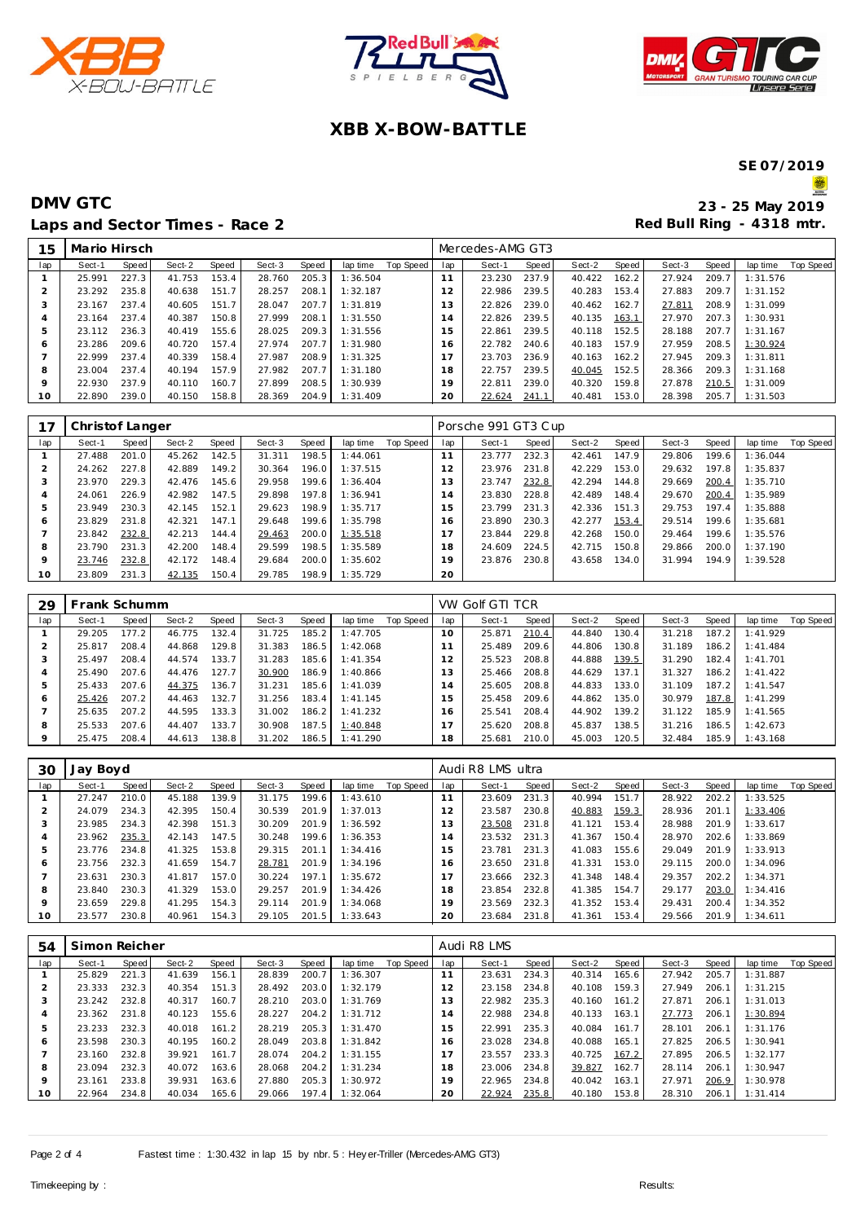





# **XBB X-BOW-BATTLE**

**SE 07/2019**

S

| 15  | Mario Hirsch |       |        |       |        |       |          |           |     | Mercedes-AMG GT3 |       |        |       |        |       |          |           |
|-----|--------------|-------|--------|-------|--------|-------|----------|-----------|-----|------------------|-------|--------|-------|--------|-------|----------|-----------|
| lap | Sect-1       | Speed | Sect-2 | Speed | Sect-3 | Speed | lap time | Top Speed | lap | Sect-1           | Speed | Sect-2 | Speed | Sect-3 | Speed | lap time | Top Speed |
|     | 25.991       | 227.3 | 41.753 | 153.4 | 28.760 | 205.3 | 1:36.504 |           |     | 23.230           | 237.9 | 40.422 | 162.2 | 27.924 | 209.7 | 1:31.576 |           |
|     | 23.292       | 235.8 | 40.638 | 151.7 | 28.257 | 208.1 | 1:32.187 |           | 12  | 22.986           | 239.5 | 40.283 | 153.4 | 27.883 | 209.7 | 1:31.152 |           |
| 3   | 23.167       | 237.4 | 40.605 | 151.7 | 28.047 | 207.7 | 1:31.819 |           | 13  | 22.826           | 239.0 | 40.462 | 162.7 | 27.811 | 208.9 | 1:31.099 |           |
| 4   | 23.164       | 237.4 | 40.387 | 150.8 | 27.999 | 208.1 | 1:31.550 |           | 14  | 22.826           | 239.5 | 40.135 | 163.1 | 27.970 | 207.3 | 1:30.931 |           |
| 5   | 23.112       | 236.3 | 40.419 | 155.6 | 28.025 | 209.3 | 1:31.556 |           | 15  | 22.861           | 239.5 | 40.118 | 152.5 | 28.188 | 207.7 | 1:31.167 |           |
| 6   | 23.286       | 209.6 | 40.720 | 157.4 | 27.974 | 207.7 | 1:31.980 |           | 16  | 22.782           | 240.6 | 40.183 | 157.9 | 27.959 | 208.5 | 1:30.924 |           |
|     | 22.999       | 237.4 | 40.339 | 158.4 | 27.987 | 208.9 | 1:31.325 |           | 17  | 23.703           | 236.9 | 40.163 | 162.2 | 27.945 | 209.3 | 1:31.811 |           |
| 8   | 23.004       | 237.4 | 40.194 | 157.9 | 27.982 | 207.7 | 1:31.180 |           | 18  | 22.757           | 239.5 | 40.045 | 152.5 | 28.366 | 209.3 | 1:31.168 |           |
| 9   | 22.930       | 237.9 | 40.110 | 160.7 | 27.899 | 208.5 | 1:30.939 |           | 19  | 22.811           | 239.0 | 40.320 | 159.8 | 27.878 | 210.5 | 1:31.009 |           |
| 10  | 22.890       | 239.0 | 40.150 | 158.8 | 28.369 | 204.9 | 1:31.409 |           | 20  | 22.624           | 241.1 | 40.481 | 153.0 | 28.398 | 205.7 | 1:31.503 |           |

|     | Christof Langer |       |        |       |        |       |          |           |                          | Porsche 991 GT3 Cup |       |        |       |        |       |          |           |
|-----|-----------------|-------|--------|-------|--------|-------|----------|-----------|--------------------------|---------------------|-------|--------|-------|--------|-------|----------|-----------|
| lap | Sect-1          | Speed | Sect-2 | Speed | Sect-3 | Speed | lap time | Top Speed | lap                      | Sect-1              | Speed | Sect-2 | Speed | Sect-3 | Speed | lap time | Top Speed |
|     | 27.488          | 201.0 | 45.262 | 142.5 | 31.311 | 198.5 | 1:44.061 |           |                          | 23.777              | 232.3 | 42.461 | 147.9 | 29.806 | 199.6 | 1:36.044 |           |
| 2   | 24.262          | 227.8 | 42.889 | 149.2 | 30.364 | 196.0 | 1:37.515 |           | 2                        | 23.976              | 231.8 | 42.229 | 153.0 | 29.632 | 197.8 | 1:35.837 |           |
|     | 23.970          | 229.3 | 42.476 | 145.6 | 29.958 | 199.6 | 1:36.404 |           | 3                        | 23.747              | 232.8 | 42.294 | 144.8 | 29.669 | 200.4 | 1:35.710 |           |
| 4   | 24.061          | 226.9 | 42.982 | 147.5 | 29.898 | 197.8 | 1:36.941 |           | 4                        | 23.830              | 228.8 | 42.489 | 148.4 | 29.670 | 200.4 | 1:35.989 |           |
| 5   | 23.949          | 230.3 | 42.145 | 152.1 | 29.623 | 198.9 | 1:35.717 |           | 5                        | 23.799              | 231.3 | 42.336 | 151.3 | 29.753 | 197.4 | 1:35.888 |           |
| 6   | 23.829          | 231.8 | 42.321 | 147.1 | 29.648 | 199.6 | 1:35.798 |           | 6                        | 23.890              | 230.3 | 42.277 | 153.4 | 29.514 | 199.6 | 1:35.681 |           |
|     | 23.842          | 232.8 | 42.213 | 144.4 | 29.463 | 200.0 | 1:35.518 |           | $\overline{\phantom{a}}$ | 23.844              | 229.8 | 42.268 | 150.0 | 29.464 | 199.6 | 1:35.576 |           |
| 8   | 23.790          | 231.3 | 42.200 | 148.4 | 29.599 | 198.5 | 1:35.589 |           | 18                       | 24.609              | 224.5 | 42.715 | 150.8 | 29.866 | 200.0 | 1:37.190 |           |
| 9   | 23.746          | 232.8 | 42.172 | 148.4 | 29.684 | 200.0 | 1:35.602 |           | 19                       | 23.876              | 230.8 | 43.658 | 134.0 | 31.994 | 194.9 | 1:39.528 |           |
| 10  | 23.809          | 231.3 | 42.135 | 150.4 | 29.785 | 198.9 | 1:35.729 |           | 20                       |                     |       |        |       |        |       |          |           |

| 29  |        | rank Schumm |        |       |        |       |           |           |              | VW Golf GTI TCR |       |        |       |        |       |          |           |
|-----|--------|-------------|--------|-------|--------|-------|-----------|-----------|--------------|-----------------|-------|--------|-------|--------|-------|----------|-----------|
| lap | Sect-1 | Speed       | Sect-2 | Speed | Sect-3 | Speed | lap time  | Top Speed | lap          | Sect-1          | Speed | Sect-2 | Speed | Sect-3 | Speed | lap time | Top Speed |
|     | 29.205 | 177.2       | 46.775 | 132.4 | 31.725 | 185.2 | 1:47.705  |           | 10           | 25.871          | 210.4 | 44.840 | 130.4 | 31.218 | 187.2 | 1:41.929 |           |
|     | 25.817 | 208.4       | 44.868 | 129.8 | 31.383 | 186.5 | 1:42.068  |           |              | 25.489          | 209.6 | 44.806 | 130.8 | 31.189 | 186.2 | 1:41.484 |           |
|     | 25.497 | 208.4       | 44.574 | 133.7 | 31.283 | 185.6 | 1: 41.354 |           |              | 25.523          | 208.8 | 44.888 | 139.5 | 31.290 | 182.4 | 1:41.701 |           |
|     | 25.490 | 207.6       | 44.476 | 127.7 | 30.900 | 186.9 | 1:40.866  |           | 3            | 25.466          | 208.8 | 44.629 | 137.1 | 31.327 | 186.2 | 1:41.422 |           |
| 5   | 25.433 | 207.6       | 44.375 | 136.7 | 31.231 | 185.6 | 1:41.039  |           | $^{\circ}$ 4 | 25.605          | 208.8 | 44.833 | 133.0 | 31.109 | 187.2 | 1:41.547 |           |
| 6   | 25.426 | 207.2       | 44.463 | 132.7 | 31.256 | 183.4 | 1:41.145  |           | 15           | 25.458          | 209.6 | 44.862 | 135.0 | 30.979 | 187.8 | 1:41.299 |           |
|     | 25.635 | 207.2       | 44.595 | 133.3 | 31.002 | 186.2 | 1:41.232  |           | 16           | 25.541          | 208.4 | 44.902 | 139.2 | 31.122 | 185.9 | 1:41.565 |           |
| 8   | 25.533 | 207.6       | 44.407 | 133.7 | 30.908 | 187.5 | 1:40.848  |           |              | 25.620          | 208.8 | 45.837 | 138.5 | 31.216 | 186.5 | 1:42.673 |           |
| 9   | 25.475 | 208.4       | 44.613 | 138.8 | 31.202 | 186.5 | 1:41.290  |           | 18           | 25.681          | 210.0 | 45.003 | 120.5 | 32.484 | 185.9 | 1:43.168 |           |

| 30      | Jay Boyd |       |        |       |        |       |          |           |                | Audi R8 LMS ultra |       |        |       |        |       |          |           |
|---------|----------|-------|--------|-------|--------|-------|----------|-----------|----------------|-------------------|-------|--------|-------|--------|-------|----------|-----------|
| lap     | Sect-1   | Speed | Sect-2 | Speed | Sect-3 | Speed | lap time | Top Speed | lap            | Sect-1            | Speed | Sect-2 | Speed | Sect-3 | Speed | lap time | Top Speed |
|         | 27.247   | 210.0 | 45.188 | 139.9 | 31.175 | 199.6 | 1:43.610 |           |                | 23.609            | 231.3 | 40.994 | 151.7 | 28.922 | 202.2 | 1:33.525 |           |
|         | 24.079   | 234.3 | 42.395 | 150.4 | 30.539 | 201.9 | 1:37.013 |           | $\overline{2}$ | 23.587            | 230.8 | 40.883 | 159.3 | 28.936 | 201.1 | 1:33.406 |           |
|         | 23.985   | 234.3 | 42.398 | 151.3 | 30.209 | 201.9 | 1:36.592 |           | 3              | 23.508            | 231.8 | 41.121 | 153.4 | 28.988 | 201.9 | 1:33.617 |           |
|         | 23.962   | 235.3 | 42.143 | 147.5 | 30.248 | 199.6 | 1:36.353 |           | 4              | 23.532            | 231.3 | 41.367 | 150.4 | 28.970 | 202.6 | 1:33.869 |           |
| h       | 23.776   | 234.8 | 41.325 | 153.8 | 29.315 | 201.1 | 1:34.416 |           | 5              | 23.781            | 231.3 | 41.083 | 155.6 | 29.049 | 201.9 | 1:33.913 |           |
| 6       | 23.756   | 232.3 | 41.659 | 154.7 | 28.781 | 201.9 | 1:34.196 |           | 6              | 23.650            | 231.8 | 41.331 | 153.0 | 29.115 | 200.0 | 1:34.096 |           |
|         | 23.631   | 230.3 | 41.817 | 157.0 | 30.224 | 197.1 | 1:35.672 |           |                | 23.666            | 232.3 | 41.348 | 148.4 | 29.357 | 202.2 | 1:34.371 |           |
| 8       | 23.840   | 230.3 | 41.329 | 153.0 | 29.257 | 201.9 | 1:34.426 |           | 8              | 23.854            | 232.8 | 41.385 | 154.7 | 29.177 | 203.0 | 1:34.416 |           |
| $\circ$ | 23.659   | 229.8 | 41.295 | 154.3 | 29.114 | 201.9 | 1:34.068 |           | 19             | 23.569            | 232.3 | 41.352 | 153.4 | 29.431 | 200.4 | 1:34.352 |           |
| 10      | 23.577   | 230.8 | 40.961 | 154.3 | 29.105 | 201.5 | 1:33.643 |           | 20             | 23.684            | 231.8 | 41.361 | 153.4 | 29.566 | 201.9 | 1:34.611 |           |

| 54             | Simon Reicher |       |        |       |        |       |          |           |     | Audi R8 LMS |       |        |       |        |       |          |                  |
|----------------|---------------|-------|--------|-------|--------|-------|----------|-----------|-----|-------------|-------|--------|-------|--------|-------|----------|------------------|
| lap            | Sect-1        | Speed | Sect-2 | Speed | Sect-3 | Speed | lap time | Top Speed | lap | Sect-1      | Speed | Sect-2 | Speed | Sect-3 | Speed | lap time | <b>Top Speed</b> |
|                | 25.829        | 221.3 | 41.639 | 156.1 | 28.839 | 200.7 | 1:36.307 |           |     | 23.631      | 234.3 | 40.314 | 165.6 | 27.942 | 205.7 | 1:31.887 |                  |
|                | 23.333        | 232.3 | 40.354 | 151.3 | 28.492 | 203.0 | 1:32.179 |           | 12  | 23.158      | 234.8 | 40.108 | 159.3 | 27.949 | 206.1 | 1:31.215 |                  |
| 3              | 23.242        | 232.8 | 40.317 | 160.7 | 28.210 | 203.0 | 1:31.769 |           | 13  | 22.982      | 235.3 | 40.160 | 161.2 | 27.871 | 206.1 | 1:31.013 |                  |
| $\overline{4}$ | 23.362        | 231.8 | 40.123 | 155.6 | 28.227 | 204.2 | 1:31.712 |           | 14  | 22.988      | 234.8 | 40.133 | 163.1 | 27.773 | 206.1 | 1:30.894 |                  |
| 5              | 23.233        | 232.3 | 40.018 | 161.2 | 28.219 | 205.3 | 1:31.470 |           | 15  | 22.991      | 235.3 | 40.084 | 161.7 | 28.101 | 206.1 | 1:31.176 |                  |
| 6              | 23.598        | 230.3 | 40.195 | 160.2 | 28.049 | 203.8 | 1:31.842 |           | 16  | 23.028      | 234.8 | 40.088 | 165.1 | 27.825 | 206.5 | 1:30.941 |                  |
|                | 23.160        | 232.8 | 39.921 | 161.7 | 28.074 | 204.2 | 1:31.155 |           | 17  | 23.557      | 233.3 | 40.725 | 167.2 | 27.895 | 206.5 | 1:32.177 |                  |
| 8              | 23.094        | 232.3 | 40.072 | 163.6 | 28.068 | 204.2 | 1:31.234 |           | 18  | 23.006      | 234.8 | 39.827 | 162.7 | 28.114 | 206.1 | 1:30.947 |                  |
| $\circ$        | 23.161        | 233.8 | 39.931 | 163.6 | 27.880 | 205.3 | 1:30.972 |           | 19  | 22.965      | 234.8 | 40.042 | 163.1 | 27.971 | 206.9 | 1:30.978 |                  |
| 10             | 22.964        | 234.8 | 40.034 | 165.6 | 29.066 | 197.4 | 1:32.064 |           | 20  | 22.924      | 235.8 | 40.180 | 153.8 | 28.310 | 206.1 | 1:31.414 |                  |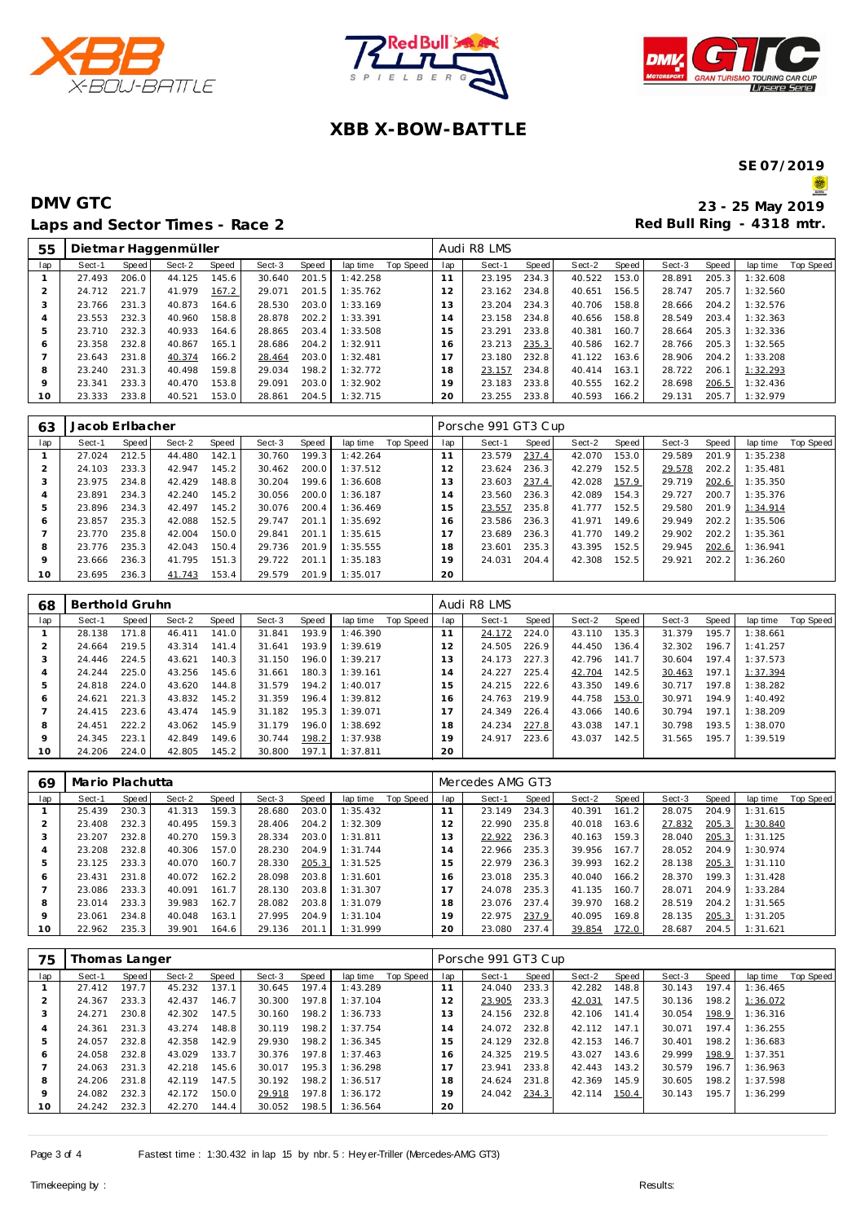





# **XBB X-BOW-BATTLE**

**SE 07/2019**

**AD** 

| 55      |        |       | Dietmar Haggenmüller |       |        |       |          |           |                | Audi R8 LMS |       |        |       |        |       |          |           |
|---------|--------|-------|----------------------|-------|--------|-------|----------|-----------|----------------|-------------|-------|--------|-------|--------|-------|----------|-----------|
| lap     | Sect-1 | Speed | Sect-2               | Speed | Sect-3 | Speed | lap time | Top Speed | lap            | Sect-1      | Speed | Sect-2 | Speed | Sect-3 | Speed | lap time | Top Speed |
|         | 27.493 | 206.0 | 44.125               | 145.6 | 30.640 | 201.5 | 1:42.258 |           | 11             | 23.195      | 234.3 | 40.522 | 153.0 | 28.891 | 205.3 | 1:32.608 |           |
|         | 24.712 | 221.7 | 41.979               | 167.2 | 29.071 | 201.5 | 1:35.762 |           | 12             | 23.162      | 234.8 | 40.651 | 156.5 | 28.747 | 205.7 | 1:32.560 |           |
| 3       | 23.766 | 231.3 | 40.873               | 164.6 | 28.530 | 203.0 | 1:33.169 |           | 13             | 23.204      | 234.3 | 40.706 | 158.8 | 28.666 | 204.2 | 1:32.576 |           |
| 4       | 23.553 | 232.3 | 40.960               | 158.8 | 28.878 | 202.2 | 1:33.391 |           | $\overline{4}$ | 23.158      | 234.8 | 40.656 | 158.8 | 28.549 | 203.4 | 1:32.363 |           |
| 5       | 23.710 | 232.3 | 40.933               | 164.6 | 28.865 | 203.4 | 1:33.508 |           | 5              | 23.291      | 233.8 | 40.381 | 160.7 | 28.664 | 205.3 | 1:32.336 |           |
| Ô       | 23.358 | 232.8 | 40.867               | 165.1 | 28.686 | 204.2 | 1:32.911 |           | 6              | 23.213      | 235.3 | 40.586 | 162.7 | 28.766 | 205.3 | 1:32.565 |           |
|         | 23.643 | 231.8 | 40.374               | 166.2 | 28.464 | 203.0 | 1:32.481 |           | 17             | 23.180      | 232.8 | 41.122 | 163.6 | 28.906 | 204.2 | 1:33.208 |           |
| 8       | 23.240 | 231.3 | 40.498               | 159.8 | 29.034 | 198.2 | 1:32.772 |           | 18             | 23.157      | 234.8 | 40.414 | 163.1 | 28.722 | 206.1 | 1:32.293 |           |
| $\circ$ | 23.341 | 233.3 | 40.470               | 153.8 | 29.091 | 203.0 | 1:32.902 |           | 19             | 23.183      | 233.8 | 40.555 | 162.2 | 28.698 | 206.5 | 1:32.436 |           |
| 10      | 23.333 | 233.8 | 40.521               | 153.0 | 28.861 | 204.5 | 1:32.715 |           | 20             | 23.255      | 233.8 | 40.593 | 166.2 | 29.131 | 205.7 | 1:32.979 |           |

| 63      | Jacob Erlbacher |       |        |       |        |       |          |           |              | Porsche 991 GT3 Cup |       |        |       |        |       |          |           |
|---------|-----------------|-------|--------|-------|--------|-------|----------|-----------|--------------|---------------------|-------|--------|-------|--------|-------|----------|-----------|
| lap     | Sect-1          | Speed | Sect-2 | Speed | Sect-3 | Speed | lap time | Top Speed | lap          | Sect-1              | Speed | Sect-2 | Speed | Sect-3 | Speed | lap time | Top Speed |
|         | 27.024          | 212.5 | 44.480 | 142.1 | 30.760 | 199.3 | 1:42.264 |           |              | 23.579              | 237.4 | 42.070 | 153.0 | 29.589 | 201.9 | 1:35.238 |           |
|         | 24.103          | 233.3 | 42.947 | 145.2 | 30.462 | 200.0 | 1:37.512 |           | 12           | 23.624              | 236.3 | 42.279 | 152.5 | 29.578 | 202.2 | 1:35.481 |           |
| 3       | 23.975          | 234.8 | 42.429 | 148.8 | 30.204 | 199.6 | 1:36.608 |           | 3            | 23.603              | 237.4 | 42.028 | 157.9 | 29.719 | 202.6 | 1:35.350 |           |
|         | 23.891          | 234.3 | 42.240 | 145.2 | 30.056 | 200.0 | 1:36.187 |           | <sup>4</sup> | 23.560              | 236.3 | 42.089 | 154.3 | 29.727 | 200.7 | 1:35.376 |           |
| 5       | 23.896          | 234.3 | 42.497 | 145.2 | 30.076 | 200.4 | 1:36.469 |           | 5            | 23.557              | 235.8 | 41.777 | 152.5 | 29.580 | 201.9 | 1:34.914 |           |
| 6       | 23.857          | 235.3 | 42.088 | 152.5 | 29.747 | 201.1 | 1:35.692 |           | 6            | 23.586              | 236.3 | 41.971 | 149.6 | 29.949 | 202.2 | 1:35.506 |           |
|         | 23.770          | 235.8 | 42.004 | 150.0 | 29.841 | 201.1 | 1:35.615 |           |              | 23.689              | 236.3 | 41.770 | 149.2 | 29.902 | 202.2 | 1:35.361 |           |
| 8       | 23.776          | 235.3 | 42.043 | 150.4 | 29.736 | 201.9 | 1:35.555 |           | 8            | 23.601              | 235.3 | 43.395 | 152.5 | 29.945 | 202.6 | 1:36.941 |           |
| $\circ$ | 23.666          | 236.3 | 41.795 | 151.3 | 29.722 | 201.1 | 1:35.183 |           | 19           | 24.031              | 204.4 | 42.308 | 152.5 | 29.921 | 202.2 | 1:36.260 |           |
| 10      | 23.695          | 236.3 | 41.743 | 153.4 | 29.579 | 201.9 | 1:35.017 |           | 20           |                     |       |        |       |        |       |          |           |

| 68  | Berthold Gruhn |       |        |       |        |       |          |           |                | Audi R8 LMS |       |        |       |        |       |          |           |  |  |
|-----|----------------|-------|--------|-------|--------|-------|----------|-----------|----------------|-------------|-------|--------|-------|--------|-------|----------|-----------|--|--|
| lap | Sect-1         | Speed | Sect-2 | Speed | Sect-3 | Speed | lap time | Top Speed | lap            | Sect-1      | Speed | Sect-2 | Speed | Sect-3 | Speed | lap time | Top Speed |  |  |
|     | 28.138         | 171.8 | 46.411 | 141.0 | 31.841 | 193.9 | 1:46.390 |           | $\mathbf{1}$   | 24.172      | 224.0 | 43.110 | 135.3 | 31.379 | 195.7 | 1:38.661 |           |  |  |
|     | 24.664         | 219.5 | 43.314 | 141.4 | 31.641 | 193.9 | 1:39.619 |           | 12             | 24.505      | 226.9 | 44.450 | 136.4 | 32.302 | 196.7 | 1:41.257 |           |  |  |
| 3   | 24.446         | 224.5 | 43.621 | 140.3 | 31.150 | 196.0 | 1:39.217 |           | 3              | 24.173      | 227.3 | 42.796 | 141.7 | 30.604 | 197.4 | 1:37.573 |           |  |  |
|     | 24.244         | 225.0 | 43.256 | 145.6 | 31.661 | 180.3 | 1:39.161 |           | $\overline{a}$ | 24.227      | 225.4 | 42.704 | 142.5 | 30.463 | 197.1 | 1:37.394 |           |  |  |
| 5   | 24.818         | 224.0 | 43.620 | 144.8 | 31.579 | 194.2 | 1:40.017 |           | 5              | 24.215      | 222.6 | 43.350 | 149.6 | 30.717 | 197.8 | 1:38.282 |           |  |  |
| 6   | 24.621         | 221.3 | 43.832 | 145.2 | 31.359 | 196.4 | 1:39.812 |           | 16             | 24.763      | 219.9 | 44.758 | 153.0 | 30.971 | 194.9 | 1:40.492 |           |  |  |
|     | 24.415         | 223.6 | 43.474 | 145.9 | 31.182 | 195.3 | 1:39.071 |           | $\overline{7}$ | 24.349      | 226.4 | 43.066 | 140.6 | 30.794 | 197.1 | 1:38.209 |           |  |  |
| 8   | 24.451         | 222.2 | 43.062 | 145.9 | 31.179 | 196.0 | 1:38.692 |           | 18             | 24.234      | 227.8 | 43.038 | 147.1 | 30.798 | 193.5 | 1:38.070 |           |  |  |
| 9   | 24.345         | 223.1 | 42.849 | 149.6 | 30.744 | 198.2 | 1:37.938 |           | 19             | 24.917      | 223.6 | 43.037 | 142.5 | 31.565 | 195.7 | 1:39.519 |           |  |  |
| 10  | 24.206         | 224.0 | 42.805 | 145.2 | 30.800 | 197.1 | 1:37.811 |           | 20             |             |       |        |       |        |       |          |           |  |  |

| 69      | Mario Plachutta |       |        |       |        | Mercedes AMG GT3 |          |           |     |        |       |        |       |        |       |          |           |
|---------|-----------------|-------|--------|-------|--------|------------------|----------|-----------|-----|--------|-------|--------|-------|--------|-------|----------|-----------|
| lap     | Sect-1          | Speed | Sect-2 | Speed | Sect-3 | Speed            | lap time | Top Speed | lap | Sect-1 | Speed | Sect-2 | Speed | Sect-3 | Speed | lap time | Top Speed |
|         | 25.439          | 230.3 | 41.313 | 159.3 | 28.680 | 203.0            | 1:35.432 |           | 77  | 23.149 | 234.3 | 40.391 | 161.2 | 28.075 | 204.9 | 1:31.615 |           |
| ∠       | 23.408          | 232.3 | 40.495 | 159.3 | 28.406 | 204.2            | 1:32.309 |           |     | 22.990 | 235.8 | 40.018 | 163.6 | 27.832 | 205.3 | 1:30.840 |           |
| 3       | 23.207          | 232.8 | 40.270 | 159.3 | 28.334 | 203.0            | 1:31.811 |           | 3   | 22.922 | 236.3 | 40.163 | 159.3 | 28.040 | 205.3 | 1:31.125 |           |
| 4       | 23.208          | 232.8 | 40.306 | 157.0 | 28.230 | 204.9            | 1:31.744 |           | 14  | 22.966 | 235.3 | 39.956 | 167.7 | 28.052 | 204.9 | 1:30.974 |           |
| ь       | 23.125          | 233.3 | 40.070 | 160.7 | 28.330 | 205.3            | 1:31.525 |           | - 5 | 22.979 | 236.3 | 39.993 | 162.2 | 28.138 | 205.3 | 1:31.110 |           |
| 6       | 23.431          | 231.8 | 40.072 | 162.2 | 28.098 | 203.8            | 1:31.601 |           | 6   | 23.018 | 235.3 | 40.040 | 166.2 | 28.370 | 199.3 | 1:31.428 |           |
|         | 23.086          | 233.3 | 40.091 | 161.7 | 28.130 | 203.8            | 1:31.307 |           |     | 24.078 | 235.3 | 41.135 | 160.7 | 28.071 | 204.9 | 1:33.284 |           |
| 8       | 23.014          | 233.3 | 39.983 | 162.7 | 28.082 | 203.8            | 1:31.079 |           | 8   | 23.076 | 237.4 | 39.970 | 168.2 | 28.519 | 204.2 | 1:31.565 |           |
| $\circ$ | 23.061          | 234.8 | 40.048 | 163.1 | 27.995 | 204.9            | 1:31.104 |           | 19  | 22.975 | 237.9 | 40.095 | 169.8 | 28.135 | 205.3 | 1:31.205 |           |
| 10      | 22.962          | 235.3 | 39.901 | 164.6 | 29.136 | 201.1            | 1:31.999 |           | 20  | 23.080 | 237.4 | 39.854 | 172.0 | 28.687 | 204.5 | 1:31.621 |           |

| 75  | Thomas Langer |       |        |       |        | Porsche 991 GT3 Cup |          |           |                |        |       |        |       |        |       |          |           |
|-----|---------------|-------|--------|-------|--------|---------------------|----------|-----------|----------------|--------|-------|--------|-------|--------|-------|----------|-----------|
| lap | Sect-1        | Speed | Sect-2 | Speed | Sect-3 | Speed               | lap time | Top Speed | lap            | Sect-1 | Speed | Sect-2 | Speed | Sect-3 | Speed | lap time | Top Speed |
|     | 27.412        | 197.7 | 45.232 | 137.1 | 30.645 | 197.4               | 1:43.289 |           |                | 24.040 | 233.3 | 42.282 | 148.8 | 30.143 | 197.4 | 1:36.465 |           |
| 2   | 24.367        | 233.3 | 42.437 | 146.7 | 30.300 | 197.8               | 1:37.104 |           | 2              | 23.905 | 233.3 | 42.031 | 147.5 | 30.136 | 198.2 | 1:36.072 |           |
| 3   | 24.271        | 230.8 | 42.302 | 147.5 | 30.160 | 198.2               | 1:36.733 |           | 3              | 24.156 | 232.8 | 42.106 | 141.4 | 30.054 | 198.9 | 1:36.316 |           |
| 4   | 24.361        | 231.3 | 43.274 | 148.8 | 30.119 | 198.2               | 1:37.754 |           | $\overline{a}$ | 24.072 | 232.8 | 42.112 | 147.1 | 30.071 | 197.4 | 1:36.255 |           |
| 5   | 24.057        | 232.8 | 42.358 | 142.9 | 29.930 | 198.2               | 1:36.345 |           | 5              | 24.129 | 232.8 | 42.153 | 146.7 | 30.401 | 198.2 | 1:36.683 |           |
| 6   | 24.058        | 232.8 | 43.029 | 133.7 | 30.376 | 197.8               | 1:37.463 |           | 6              | 24.325 | 219.5 | 43.027 | 143.6 | 29.999 | 198.9 | 1:37.351 |           |
|     | 24.063        | 231.3 | 42.218 | 145.6 | 30.017 | 195.3               | 1:36.298 |           | 17             | 23.941 | 233.8 | 42.443 | 143.2 | 30.579 | 196.7 | 1:36.963 |           |
| 8   | 24.206        | 231.8 | 42.119 | 147.5 | 30.192 | 198.2               | 1:36.517 |           | 18             | 24.624 | 231.8 | 42.369 | 145.9 | 30.605 | 198.2 | 1:37.598 |           |
| 9   | 24.082        | 232.3 | 42.172 | 150.0 | 29.918 | 197.8               | 1:36.172 |           | 19             | 24.042 | 234.3 | 42.114 | 150.4 | 30.143 | 195.7 | 1:36.299 |           |
| 10  | 24.242        | 232.3 | 42.270 | 144.4 | 30.052 | 198.5               | 1:36.564 |           | 20             |        |       |        |       |        |       |          |           |